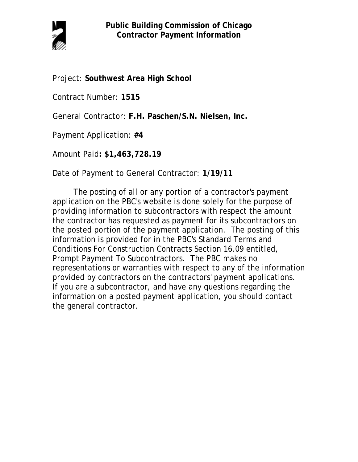

Project: **Southwest Area High School** 

Contract Number: **1515** 

General Contractor: **F.H. Paschen/S.N. Nielsen, Inc.** 

Payment Application: **#4** 

Amount Paid**: \$1,463,728.19** 

Date of Payment to General Contractor: **1/19/11** 

 The posting of all or any portion of a contractor's payment application on the PBC's website is done solely for the purpose of providing information to subcontractors with respect the amount the contractor has requested as payment for its subcontractors on the posted portion of the payment application. The posting of this information is provided for in the PBC's Standard Terms and Conditions For Construction Contracts Section 16.09 entitled, Prompt Payment To Subcontractors. The PBC makes no representations or warranties with respect to any of the information provided by contractors on the contractors' payment applications. If you are a subcontractor, and have any questions regarding the information on a posted payment application, you should contact the general contractor.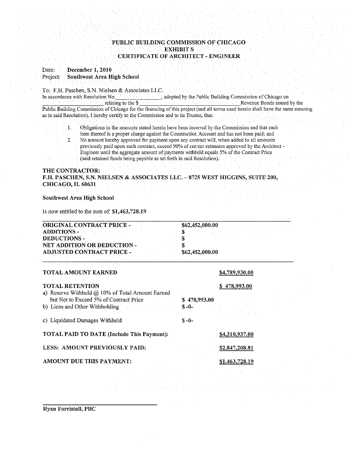# PUBLIC BUILDING COMMISSION OF CHICAGO **EXHIBIT S CERTIFICATE OF ARCHITECT - ENGINEER**

#### Date: December 1, 2010 **Southwest Area High School** Project:

To: F.H. Paschen, S.N. Nielsen & Associates LLC.

adopted by the Public Building Commission of Chicago on In accordance with Resolution No. relating to the \$ Revenue Bonds issued by the Public Building Commission of Chicago for the financing of this project (and all terms used herein shall have the same meaning as in said Resolution), I hereby certify to the Commission and to its Trustee, that:

- Obligations in the amounts stated herein have been incurred by the Commission and that each item thereof is a proper charge against the Construction Account and has not been paid; and
- $\ddot{2}$ . No amount hereby approved for payment upon any contract will, when added to all amounts previously paid upon such contract, exceed 90% of current estimates approved by the Architect -Engineer until the aggregate amount of payments withheld equals 5% of the Contract Price (said retained funds being payable as set forth in said Resolution).

# THE CONTRACTOR: F.H. PASCHEN, S.N. NIELSEN & ASSOCIATES LLC. - 8725 WEST HIGGINS, SUITE 200, **CHICAGO, IL 60631**

### Southwest Area High School

 $\mathbf{1}$ .

Is now entitled to the sum of: \$1,463,728.19

| <b>ORIGINAL CONTRACT PRICE -</b><br><b>ADDITIONS -</b><br><b>DEDUCTIONS-</b><br><b>NET ADDITION OR DEDUCTION -</b><br><b>ADJUSTED CONTRACT PRICE -</b> | \$62,452,000.00<br>\$62,452,000.00 |                       |  |
|--------------------------------------------------------------------------------------------------------------------------------------------------------|------------------------------------|-----------------------|--|
| <b>TOTAL AMOUNT EARNED</b>                                                                                                                             |                                    | <b>\$4,789,930.00</b> |  |
| <b>TOTAL RETENTION</b><br>a) Reserve Withheld $@10\%$ of Total Amount Earned<br>but Not to Exceed 5% of Contract Price                                 | \$478,993.00                       | S 478,993.00          |  |
| b) Liens and Other Withholding                                                                                                                         | $S - 0 -$                          |                       |  |
| c) Liquidated Damages Withheld                                                                                                                         | $S - 0 -$                          |                       |  |
| <b>TOTAL PAID TO DATE (Include This Payment):</b>                                                                                                      |                                    | \$4,310,937.00        |  |
| LESS: AMOUNT PREVIOUSLY PAID:                                                                                                                          |                                    | \$2,847,208.81        |  |
| AMOUNT DUE THIS PAYMENT:                                                                                                                               |                                    | \$1,463,728.19        |  |

Ryan Forristall, PBC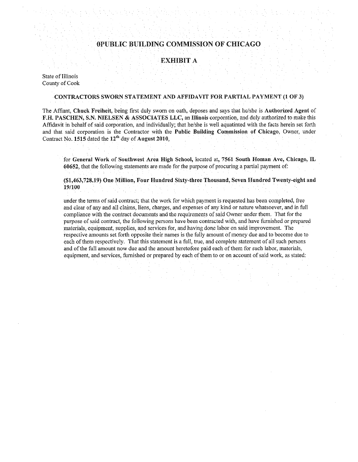# OPUBLIC BUILDING COMMISSION OF CHICAGO

## **EXHIBIT A**

State of Illinois County of Cook

#### CONTRACTORS SWORN STATEMENT AND AFFIDAVIT FOR PARTIAL PAYMENT (1 OF 3)

The Affiant, Chuck Freiheit, being first duly sworn on oath, deposes and says that he/she is Authorized Agent of F.H. PASCHEN, S.N. NIELSEN & ASSOCIATES LLC, an Illinois corporation, and duly authorized to make this Affidavit in behalf of said corporation, and individually; that he/she is well aquatinted with the facts herein set forth and that said corporation is the Contractor with the Public Building Commission of Chicago, Owner, under Contract No. 1515 dated the  $12^{th}$  day of August 2010,

for General Work of Southwest Area High School, located at, 7561 South Homan Ave, Chicago, IL 60652, that the following statements are made for the purpose of procuring a partial payment of:

(\$1,463,728.19) One Million, Four Hundred Sixty-three Thousand, Seven Hundred Twenty-eight and 19/100

under the terms of said contract; that the work for which payment is requested has been completed, free and clear of any and all claims, liens, charges, and expenses of any kind or nature whatsoever, and in full compliance with the contract documents and the requirements of said Owner under them. That for the purpose of said contract, the following persons have been contracted with, and have furnished or prepared materials, equipment, supplies, and services for, and having done labor on said improvement. The respective amounts set forth opposite their names is the fully amount of money due and to become due to each of them respectively. That this statement is a full, true, and complete statement of all such persons and of the full amount now due and the amount heretofore paid each of them for such labor, materials, equipment, and services, furnished or prepared by each of them to or on account of said work, as stated: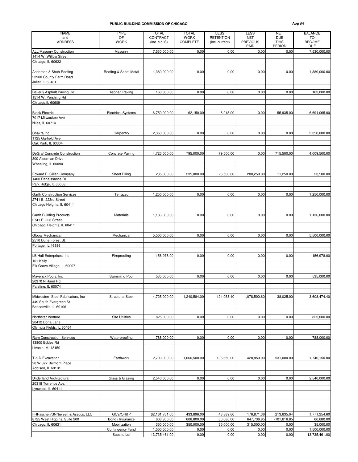#### **PUBLIC BUILDING COMMISSION OF CHICAGO**

| l |  |
|---|--|
|   |  |

| <b>NAME</b>                                                  | <b>TYPE</b>                     | <b>TOTAL</b>                  | <b>TOTAL</b>            | <b>LESS</b>                        | <b>LESS</b>                           | <b>NET</b>                                 | <b>BALANCE</b>                    |
|--------------------------------------------------------------|---------------------------------|-------------------------------|-------------------------|------------------------------------|---------------------------------------|--------------------------------------------|-----------------------------------|
| and<br><b>ADDRESS</b>                                        | OF<br><b>WORK</b>               | CONTRACT<br>(inc. c. o.'S)    | <b>WORK</b><br>COMPLETE | <b>RETENTION</b><br>(inc. current) | <b>NET</b><br><b>PREVIOUS</b><br>PAID | <b>DUE</b><br><b>THIS</b><br><b>PERIOD</b> | TO<br><b>BECOME</b><br><b>DUE</b> |
| <b>ALL Masonry Construction</b>                              | Masonry                         | 7,530,000.00                  | 0.00                    | 0.00                               | 0.00                                  | 0.00                                       | 7,530,000.00                      |
| 1414 W. Willow Street<br>Chicago, IL 60622                   |                                 |                               |                         |                                    |                                       |                                            |                                   |
| Anderson & Shah Roofing                                      | Roofing & Sheet Metal           | 1,389,000.00                  | 0.00                    | 0.00                               | 0.00                                  | 0.00                                       | 1,389,000.00                      |
| 23900 County Farm Road                                       |                                 |                               |                         |                                    |                                       |                                            |                                   |
| Joliet, IL 60431                                             |                                 |                               |                         |                                    |                                       |                                            |                                   |
| Beverly Asphalt Paving Co.                                   | <b>Asphalt Paving</b>           | 163,000.00                    | 0.00                    | 0.00                               | 0.00                                  | 0.00                                       | 163,000.00                        |
| 1514 W. Pershing Rd<br>Chicago, IL 60609                     |                                 |                               |                         |                                    |                                       |                                            |                                   |
|                                                              |                                 |                               |                         |                                    |                                       |                                            |                                   |
| <b>Block Electric</b><br>7017 Milwaukee Ave                  | <b>Electrical Systems</b>       | 6,750,000.00                  | 62,150.00               | 6,215.00                           | 0.00                                  | 55,935.00                                  | 6,694,065.00                      |
| Niles, IL 60714                                              |                                 |                               |                         |                                    |                                       |                                            |                                   |
|                                                              |                                 |                               |                         |                                    |                                       |                                            |                                   |
| Chakra Inc                                                   | Carpentry                       | 2,350,000.00                  | 0.00                    | 0.00                               | 0.00                                  | 0.00                                       | 2,350,000.00                      |
| 1125 Garfield Ave<br>Oak Park, IL 60304                      |                                 |                               |                         |                                    |                                       |                                            |                                   |
| <b>DeGraf Concrete Construction</b>                          | Concrete Paving                 | 4,725,000.00                  | 795,000.00              | 79,500.00                          | 0.00                                  | 715,500.00                                 | 4,009,500.00                      |
| 300 Alderman Drive                                           |                                 |                               |                         |                                    |                                       |                                            |                                   |
| Wheeling, IL 60090                                           |                                 |                               |                         |                                    |                                       |                                            |                                   |
| Edward E. Gillen Company                                     | <b>Sheet Piling</b>             | 235,000.00                    | 235,000.00              | 23,500.00                          | 200,250.00                            | 11,250.00                                  | 23,500.00                         |
| 1400 Renaissance Dr                                          |                                 |                               |                         |                                    |                                       |                                            |                                   |
| Park Ridge, IL 60068                                         |                                 |                               |                         |                                    |                                       |                                            |                                   |
| <b>Garth Construction Services</b><br>2741 E. 223rd Street   | Terrazzo                        | 1,250,000.00                  | 0.00                    | 0.00                               | 0.00                                  | 0.00                                       | 1,250,000.00                      |
| Chicago Heights, IL 60411                                    |                                 |                               |                         |                                    |                                       |                                            |                                   |
| Garth Building Products                                      | Materials                       | 1,136,000.00                  | 0.00                    | 0.00                               | 0.00                                  | 0.00                                       | 1,136,000.00                      |
| 2741 E. 223 Street                                           |                                 |                               |                         |                                    |                                       |                                            |                                   |
| Chicago, Heights, IL 60411                                   |                                 |                               |                         |                                    |                                       |                                            |                                   |
| Global Mechanical                                            | Mechanical                      | 5,500,000.00                  | 0.00                    | 0.00                               | 0.00                                  | 0.00                                       | 5,500,000.00                      |
| 2510 Dune Forest St.<br>Portage, IL 46386                    |                                 |                               |                         |                                    |                                       |                                            |                                   |
|                                                              |                                 |                               |                         |                                    |                                       |                                            |                                   |
| LB Hall Enterprises, Inc                                     | Fireproofing                    | 156,978.00                    | 0.00                    | 0.00                               | 0.00                                  | 0.00                                       | 156,978.00                        |
| 101 Kelly<br>Elk Grove Village, IL 60007                     |                                 |                               |                         |                                    |                                       |                                            |                                   |
|                                                              |                                 |                               |                         |                                    |                                       |                                            |                                   |
| Maverick Pools, Inc                                          | Swimming Pool                   | 535,000.00                    | 0.00                    | 0.00                               | 0.00                                  | 0.00                                       | 535,000.00                        |
| 20370 N Rand Rd<br>Palatine, IL 60074                        |                                 |                               |                         |                                    |                                       |                                            |                                   |
|                                                              |                                 |                               |                         |                                    |                                       |                                            |                                   |
| Midwestern Steel Fabricators, Inc.<br>449 South Evergreen St | <b>Structural Steel</b>         | 4,725,000.00                  | 1,240,584.00            | 124,058.40                         | 1,078,500.60                          | 38,025.00                                  | 3,608,474.40                      |
| Bensenville, IL 60106                                        |                                 |                               |                         |                                    |                                       |                                            |                                   |
| Northstar Venture                                            | <b>Site Utilities</b>           | 825,000.00                    | 0.00                    | 0.00                               | 0.00                                  | 0.00                                       | 825,000.00                        |
| 20412 Doria Lane                                             |                                 |                               |                         |                                    |                                       |                                            |                                   |
| Olympia Fields, IL 60464                                     |                                 |                               |                         |                                    |                                       |                                            |                                   |
| Ram Construction Services                                    | Waterproofing                   | 788,000.00                    | 0.00                    | 0.00                               | 0.00                                  | 0.00                                       | 788,000.00                        |
| 13800 Eckles Rd<br>Livonia, MI 48150                         |                                 |                               |                         |                                    |                                       |                                            |                                   |
|                                                              |                                 |                               |                         |                                    |                                       |                                            |                                   |
| T & D Excavation<br>20 W 327 Belmont Place                   | Earthwork                       | 2,700,000.00                  | 1,066,500.00            | 106,650.00                         | 428,850.00                            | 531,000.00                                 | 1,740,150.00                      |
| Addison, IL 60101                                            |                                 |                               |                         |                                    |                                       |                                            |                                   |
|                                                              |                                 |                               |                         |                                    |                                       |                                            |                                   |
| Underland Architectural<br>20318 Torrence Ave.               | Glass & Glazing                 | 2,540,000.00                  | 0.00                    | 0.00                               | 0.00                                  | 0.00                                       | 2,540,000.00                      |
| Lynwood, IL 60411                                            |                                 |                               |                         |                                    |                                       |                                            |                                   |
|                                                              |                                 |                               |                         |                                    |                                       |                                            |                                   |
|                                                              |                                 |                               |                         |                                    |                                       |                                            |                                   |
| FHPaschen/SNNielsen & Assocs, LLC                            | GC's/OH&P                       | \$2,161,761.00                | 433,896.00              | 43,389.60                          | 176,871.36                            | 213,635.04                                 | 1,771,254.60                      |
| 8725 West Higgins, Suite 200                                 | Bond / Insurance                | 606,800.00                    | 606,800.00              | 60,680.00                          | 647,736.85                            | $-101,616.85$                              | 60,680.00                         |
| Chicago, IL 60631                                            | Mobilization                    | 350,000.00                    | 350,000.00              | 35,000.00                          | 315,000.00                            | 0.00                                       | 35,000.00                         |
|                                                              | Contingency Fund<br>Subs to Let | 1,500,000.00<br>13,735,461.00 | 0.00<br>0.00            | 0.00<br>0.00                       | 0.00<br>0.00                          | 0.00<br>0.00                               | 1,500,000.00<br>13,735,461.00     |
|                                                              |                                 |                               |                         |                                    |                                       |                                            |                                   |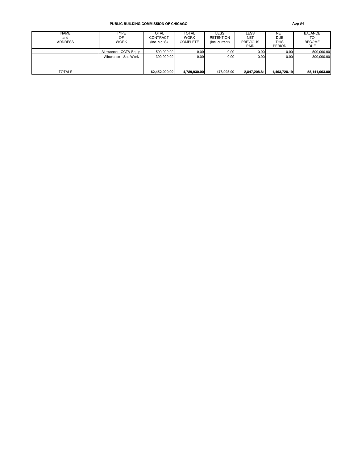### **PUBLIC BUILDING COMMISSION OF CHICAGO App #4**

| <b>NAME</b><br>and<br><b>ADDRESS</b> | <b>TYPE</b><br>OF<br><b>WORK</b> | TOTAL<br>CONTRACT<br>(inc. c. o.'S) | <b>TOTAL</b><br><b>WORK</b><br><b>COMPLETE</b> | LESS<br><b>RETENTION</b><br>(inc. current) | LESS<br>NE <sub>1</sub><br><b>PREVIOUS</b><br>PAID | <b>NET</b><br><b>DUE</b><br>THIS<br><b>PERIOD</b> | <b>BALANCE</b><br>TO<br><b>BECOME</b><br><b>DUE</b> |
|--------------------------------------|----------------------------------|-------------------------------------|------------------------------------------------|--------------------------------------------|----------------------------------------------------|---------------------------------------------------|-----------------------------------------------------|
|                                      | Allowance - CCTV Equip.          | 500.000.00                          | 0.00                                           | 0.00                                       | 0.00                                               | 0.00                                              | 500,000.00                                          |
|                                      | Allowance - Site Work            | 300.000.00                          | 0.00                                           | 0.00                                       | 0.00                                               | 0.00                                              | 300,000.00                                          |
|                                      |                                  |                                     |                                                |                                            |                                                    |                                                   |                                                     |
|                                      |                                  |                                     |                                                |                                            |                                                    |                                                   |                                                     |
| <b>TOTALS</b>                        |                                  | 62.452.000.00                       | 4,789,930.00                                   | 478.993.00                                 | 2,847,208.81                                       | 1.463.728.19                                      | 58,141,063.00                                       |